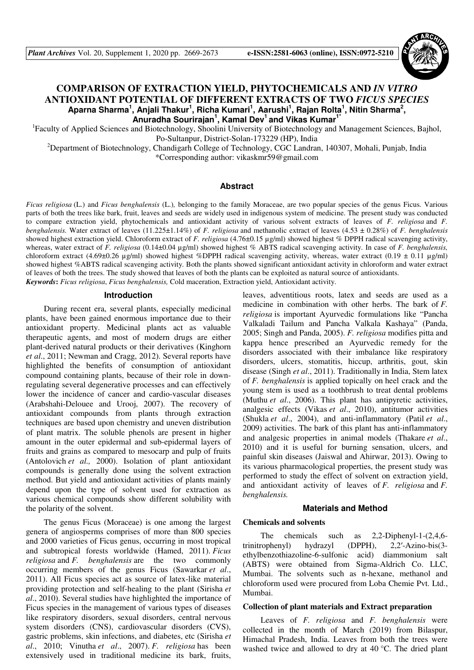

# **COMPARISON OF EXTRACTION YIELD, PHYTOCHEMICALS AND** *IN VITRO*  **ANTIOXIDANT POTENTIAL OF DIFFERENT EXTRACTS OF TWO** *FICUS SPECIES*  **Aparna Sharma<sup>1</sup> , Anjali Thakur<sup>1</sup> , Richa Kumari<sup>1</sup> , Aarushi<sup>1</sup> , Rajan Rolta<sup>1</sup> , Nitin Sharma<sup>2</sup> , Anuradha Sourirajan<sup>1</sup> , Kamal Dev<sup>1</sup>and Vikas Kumar1\***

<sup>1</sup>Faculty of Applied Sciences and Biotechnology, Shoolini University of Biotechnology and Management Sciences, Bajhol, Po-Sultanpur, District-Solan-173229 (HP), India

<sup>2</sup>Department of Biotechnology, Chandigarh College of Technology, CGC Landran, 140307, Mohali, Punjab, India \*Corresponding author: vikaskmr59@gmail.com

#### **Abstract**

*Ficus religiosa* (L.) and *Ficus benghalensis* (L.)*,* belonging to the family Moraceae, are two popular species of the genus Ficus. Various parts of both the trees like bark, fruit, leaves and seeds are widely used in indigenous system of medicine. The present study was conducted to compare extraction yield, phytochemicals and antioxidant activity of various solvent extracts of leaves of *F. religiosa* and *F. benghalensis.* Water extract of leaves (11.225±1.14%) of *F. religiosa* and methanolic extract of leaves (4.53 ± 0.28%) of *F. benghalensis*  showed highest extraction yield. Chloroform extract of *F. religiosa* (4.76±0.15 µg/ml) showed highest % DPPH radical scavenging activity, whereas, water extract of *F. religiosa* (0.14±0.04 µg/ml) showed highest % ABTS radical scavenging activity. In case of *F. benghalensis,* chloroform extract (4.69±0.26 µg/ml) showed highest %DPPH radical scavenging activity, whereas, water extract (0.19 ± 0.11 µg/ml) showed highest %ABTS radical scavenging activity. Both the plants showed significant antioxidant activity in chloroform and water extract of leaves of both the trees. The study showed that leaves of both the plants can be exploited as natural source of antioxidants. *Keywords***:** *Ficus religiosa*, *Ficus benghalensis,* Cold maceration, Extraction yield, Antioxidant activity.

#### **Introduction**

During recent era, several plants, especially medicinal plants, have been gained enormous importance due to their antioxidant property. Medicinal plants act as valuable therapeutic agents, and most of modern drugs are either plant-derived natural products or their derivatives (Kinghorn *et al*., 2011; Newman and Cragg, 2012). Several reports have highlighted the benefits of consumption of antioxidant compound containing plants, because of their role in downregulating several degenerative processes and can effectively lower the incidence of cancer and cardio-vascular diseases (Arabshahi-Delouee and Urooj, 2007). The recovery of antioxidant compounds from plants through extraction techniques are based upon chemistry and uneven distribution of plant matrix. The soluble phenols are present in higher amount in the outer epidermal and sub-epidermal layers of fruits and grains as compared to mesocarp and pulp of fruits (Antolovich *et al.,* 2000). Isolation of plant antioxidant compounds is generally done using the solvent extraction method. But yield and antioxidant activities of plants mainly depend upon the type of solvent used for extraction as various chemical compounds show different solubility with the polarity of the solvent.

The genus Ficus (Moraceae) is one among the largest genera of angiosperms comprises of more than 800 species and 2000 varieties of Ficus genus, occurring in most tropical and subtropical forests worldwide (Hamed, 2011). *Ficus religiosa* and *F. benghalensis* are the two commonly occurring members of the genus Ficus (Sawarkar *et al*., 2011). All Ficus species act as source of latex-like material providing protection and self-healing to the plant (Sirisha *et al*., 2010). Several studies have highlighted the importance of Ficus species in the management of various types of diseases like respiratory disorders, sexual disorders, central nervous system disorders (CNS), cardiovascular disorders (CVS), gastric problems, skin infections, and diabetes, etc (Sirisha *et al*., 2010; Vinutha *et al*., 2007). *F. religiosa* has been extensively used in traditional medicine its bark, fruits,

leaves, adventitious roots, latex and seeds are used as a medicine in combination with other herbs. The bark of *F. religiosa* is important Ayurvedic formulations like "Pancha Valkaladi Tailum and Pancha Valkala Kashaya" (Panda, 2005; Singh and Panda, 2005). *F. religiosa* modifies pitta and kappa hence prescribed an Ayurvedic remedy for the disorders associated with their imbalance like respiratory disorders, ulcers, stomatitis, hiccup, arthritis, gout, skin disease (Singh *et al*., 2011). Traditionally in India, Stem latex of *F. benghalensis* is applied topically on heel crack and the young stem is used as a toothbrush to treat dental problems (Muthu *et al*., 2006). This plant has antipyretic activities, analgesic effects (Vikas *et al*., 2010), antitumor activities (Shukla *et al*., 2004), and anti-inflammatory (Patil *et al*., 2009) activities. The bark of this plant has anti-inflammatory and analgesic properties in animal models (Thakare *et al*., 2010) and it is useful for burning sensation, ulcers, and painful skin diseases (Jaiswal and Ahirwar, 2013). Owing to its various pharmacological properties, the present study was performed to study the effect of solvent on extraction yield, and antioxidant activity of leaves of *F. religiosa* and *F. benghalensis.*

#### **Materials and Method**

#### **Chemicals and solvents**

The chemicals such as 2,2-Diphenyl-1-(2,4,6 trinitrophenyl) hydrazyl (DPPH), 2,2′-Azino-bis(3 ethylbenzothiazoline-6-sulfonic acid) diammonium salt (ABTS) were obtained from Sigma-Aldrich Co. LLC, Mumbai. The solvents such as n-hexane, methanol and chloroform used were procured from Loba Chemie Pvt. Ltd., Mumbai.

#### **Collection of plant materials and Extract preparation**

Leaves of *F. religiosa* and *F. benghalensis* were collected in the month of March (2019) from Bilaspur, Himachal Pradesh, India. Leaves from both the trees were washed twice and allowed to dry at 40 °C. The dried plant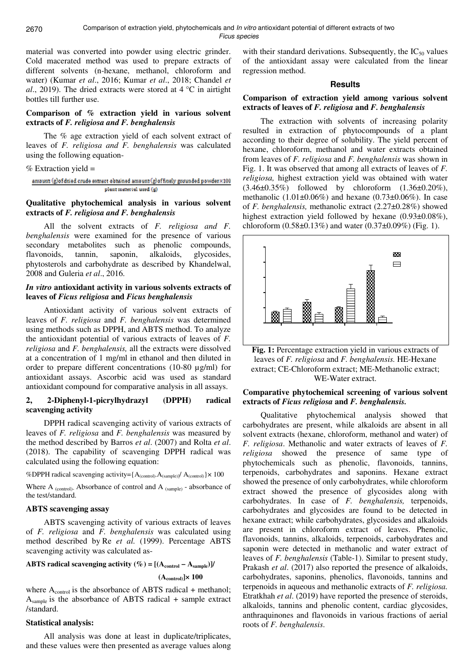material was converted into powder using electric grinder. Cold macerated method was used to prepare extracts of different solvents (n-hexane, methanol, chloroform and water) (Kumar *et al*., 2016; Kumar *et al*., 2018; Chandel *et al*., 2019). The dried extracts were stored at 4 °C in airtight bottles till further use.

### **Comparison of % extraction yield in various solvent extracts of** *F. religiosa and F. benghalensis*

The % age extraction yield of each solvent extract of leaves of *F. religiosa and F. benghalensis* was calculated using the following equation-

#### % Extraction yield =

amount (g)of dried crude extract obtained amount (g)of finely grounded powder×100 plent material used (g)

### **Qualitative phytochemical analysis in various solvent extracts of** *F. religiosa and F. benghalensis*

All the solvent extracts of *F. religiosa and F. benghalensis* were examined for the presence of various secondary metabolites such as phenolic compounds, flavonoids, tannin, saponin, alkaloids, glycosides, phytosterols and carbohydrate as described by Khandelwal, 2008 and Guleria *et al*., 2016.

# *In vitro* **antioxidant activity in various solvents extracts of leaves of** *Ficus religiosa* **and** *Ficus benghalensis*

Antioxidant activity of various solvent extracts of leaves of *F. religiosa* and *F. benghalensis* was determined using methods such as DPPH, and ABTS method. To analyze the antioxidant potential of various extracts of leaves of *F. religiosa* and *F. benghalensis,* all the extracts were dissolved at a concentration of 1 mg/ml in ethanol and then diluted in order to prepare different concentrations (10-80 µg/ml) for antioxidant assays. Ascorbic acid was used as standard antioxidant compound for comparative analysis in all assays.

# **2, 2-Diphenyl-1-picrylhydrazyl (DPPH) radical scavenging activity**

DPPH radical scavenging activity of various extracts of leaves of *F. religiosa* and *F. benghalensis* was measured by the method described by Barros *et al*. (2007) and Rolta *et al*. (2018). The capability of scavenging DPPH radical was calculated using the following equation:

%DPPH radical scavenging activity={A<sub>(control)</sub>.A<sub>(sample)</sub>]/ A<sub>(control)</sub>}× 100

Where  $A_{(control)}$ - Absorbance of control and  $A_{(sample)}$  - absorbance of the test/standard.

## **ABTS scavenging assay**

ABTS scavenging activity of various extracts of leaves of *F. religiosa* and *F. benghalensis* was calculated using method described by Re *et al.* (1999). Percentage ABTS scavenging activity was calculated as-

# **ABTS radical scavenging activity (%) =**  $[(A_{control} - A_{sample})]$ **/ (Acontrol)]× 100**

where A<sub>control</sub> is the absorbance of ABTS radical + methanol; Asample is the absorbance of ABTS radical + sample extract /standard.

## **Statistical analysis:**

All analysis was done at least in duplicate/triplicates, and these values were then presented as average values along

with their standard derivations. Subsequently, the  $IC_{50}$  values of the antioxidant assay were calculated from the linear regression method.

### **Results**

## **Comparison of extraction yield among various solvent extracts of leaves of** *F. religiosa* **and** *F. benghalensis*

The extraction with solvents of increasing polarity resulted in extraction of phytocompounds of a plant according to their degree of solubility. The yield percent of hexane, chloroform, methanol and water extracts obtained from leaves of *F. religiosa* and *F. benghalensis* was shown in Fig. 1. It was observed that among all extracts of leaves of *F. religiosa,* highest extraction yield was obtained with water  $(3.46\pm0.35\%)$  followed by chloroform  $(1.36\pm0.20\%),$ methanolic  $(1.01 \pm 0.06\%)$  and hexane  $(0.73 \pm 0.06\%)$ . In case of *F. benghalensis,* methanolic extract (2.27±0.28%) showed highest extraction yield followed by hexane (0.93±0.08%), chloroform  $(0.58\pm0.13\%)$  and water  $(0.37\pm0.09\%)$  (Fig. 1).



**Fig. 1:** Percentage extraction yield in various extracts of leaves of *F. religiosa* and *F. benghalensis.* HE-Hexane extract; CE-Chloroform extract; ME-Methanolic extract; WE-Water extract.

## **Comparative phytochemical screening of various solvent extracts of** *Ficus religiosa* **and** *F. benghalensis.*

Qualitative phytochemical analysis showed that carbohydrates are present, while alkaloids are absent in all solvent extracts (hexane, chloroform, methanol and water) of *F. religiosa*. Methanolic and water extracts of leaves of *F. religiosa* showed the presence of same type of phytochemicals such as phenolic, flavonoids, tannins, terpenoids, carbohydrates and saponins. Hexane extract showed the presence of only carbohydrates, while chloroform extract showed the presence of glycosides along with carbohydrates. In case of *F. benghalensis,* terpenoids, carbohydrates and glycosides are found to be detected in hexane extract; while carbohydrates, glycosides and alkaloids are present in chloroform extract of leaves. Phenolic, flavonoids, tannins, alkaloids, terpenoids, carbohydrates and saponin were detected in methanolic and water extract of leaves of *F. benghalensis* (Table-1). Similar to present study, Prakash *et al*. (2017) also reported the presence of alkaloids, carbohydrates, saponins, phenolics, flavonoids, tannins and terpenoids in aqueous and methanolic extracts of *F. religiosa.*  Etratkhah *et al*. (2019) have reported the presence of steroids, alkaloids, tannins and phenolic content, cardiac glycosides, anthraquinones and flavonoids in various fractions of aerial roots of *F. benghalensis*.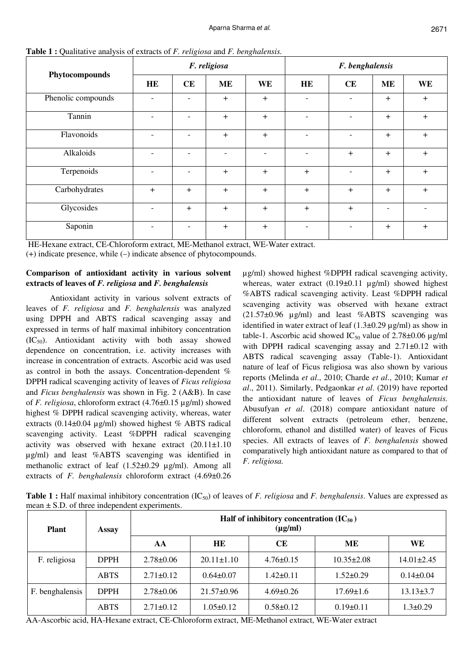| Phytocompounds     | F. religiosa             |                          |                |                          | F. benghalensis |     |           |     |
|--------------------|--------------------------|--------------------------|----------------|--------------------------|-----------------|-----|-----------|-----|
|                    | <b>HE</b>                | CE                       | <b>ME</b>      | <b>WE</b>                | <b>HE</b>       | CE  | <b>ME</b> | WE  |
| Phenolic compounds |                          |                          | $+$            | $+$                      |                 |     | $+$       | $+$ |
| Tannin             | $\overline{\phantom{0}}$ |                          | $+$            | $+$                      |                 |     | $+$       | $+$ |
| Flavonoids         | $\overline{\phantom{0}}$ |                          | $+$            | $+$                      |                 |     | $+$       | $+$ |
| Alkaloids          | $\overline{\phantom{a}}$ | $\overline{\phantom{0}}$ | $\blacksquare$ | $\overline{\phantom{a}}$ | $\overline{a}$  | $+$ | $+$       | $+$ |
| Terpenoids         |                          |                          | $+$            | $+$                      | $+$             |     | $\ddot{}$ | $+$ |
| Carbohydrates      | $+$                      | $+$                      | $+$            | $+$                      | $+$             | $+$ | $+$       | $+$ |
| Glycosides         | $\overline{\phantom{a}}$ | $+$                      | $+$            | $+$                      | $+$             | $+$ |           |     |
| Saponin            |                          |                          | $+$            | $+$                      |                 |     | $+$       | $+$ |

**Table 1 :** Qualitative analysis of extracts of *F. religiosa* and *F. benghalensis.* 

 HE-Hexane extract, CE-Chloroform extract, ME-Methanol extract, WE-Water extract. (+) indicate presence, while (–) indicate absence of phytocompounds.

# **Comparison of antioxidant activity in various solvent extracts of leaves of** *F. religiosa* **and** *F. benghalensis*

Antioxidant activity in various solvent extracts of leaves of *F. religiosa* and *F. benghalensis* was analyzed using DPPH and ABTS radical scavenging assay and expressed in terms of half maximal inhibitory concentration  $(IC_{50})$ . Antioxidant activity with both assay showed dependence on concentration, i.e. activity increases with increase in concentration of extracts. Ascorbic acid was used as control in both the assays. Concentration-dependent % DPPH radical scavenging activity of leaves of *Ficus religiosa*  and *Ficus benghalensis* was shown in Fig. 2 (A&B). In case of *F. religiosa*, chloroform extract (4.76±0.15 µg/ml) showed highest % DPPH radical scavenging activity, whereas, water extracts (0.14 $\pm$ 0.04 µg/ml) showed highest % ABTS radical scavenging activity. Least %DPPH radical scavenging activity was observed with hexane extract (20.11±1.10 µg/ml) and least %ABTS scavenging was identified in methanolic extract of leaf (1.52±0.29 µg/ml). Among all extracts of *F. benghalensis* chloroform extract (4.69±0.26 µg/ml) showed highest %DPPH radical scavenging activity, whereas, water extract  $(0.19\pm0.11 \text{ µg/ml})$  showed highest %ABTS radical scavenging activity. Least %DPPH radical scavenging activity was observed with hexane extract (21.57±0.96 µg/ml) and least %ABTS scavenging was identified in water extract of leaf  $(1.3\pm0.29 \,\mu\text{g/ml})$  as show in table-1. Ascorbic acid showed  $IC_{50}$  value of 2.78±0.06  $\mu$ g/ml with DPPH radical scavenging assay and  $2.71\pm0.12$  with ABTS radical scavenging assay (Table-1). Antioxidant nature of leaf of Ficus religiosa was also shown by various reports (Melinda *et al*., 2010; Charde *et al*., 2010; Kumar *et al*., 2011). Similarly, Pedgaonkar *et al*. (2019) have reported the antioxidant nature of leaves of *Ficus benghalensis.* Abusufyan *et al*. (2018) compare antioxidant nature of different solvent extracts (petroleum ether, benzene, chloroform, ethanol and distilled water) of leaves of Ficus species. All extracts of leaves of *F. benghalensis* showed comparatively high antioxidant nature as compared to that of *F. religiosa.* 

**Table 1 :** Half maximal inhibitory concentration (IC<sub>50</sub>) of leaves of *F. religiosa* and *F. benghalensis*. Values are expressed as mean ± S.D. of three independent experiments.

| <b>Plant</b>    | Assay       | Half of inhibitory concentration $(IC_{50})$<br>$(\mu g/ml)$ |                  |                 |                  |                  |  |  |  |  |
|-----------------|-------------|--------------------------------------------------------------|------------------|-----------------|------------------|------------------|--|--|--|--|
|                 |             | AA                                                           | <b>HE</b>        | <b>CE</b>       | ME               | <b>WE</b>        |  |  |  |  |
| F. religiosa    | <b>DPPH</b> | $2.78 \pm 0.06$                                              | $20.11 \pm 1.10$ | $4.76 \pm 0.15$ | $10.35 \pm 2.08$ | $14.01 \pm 2.45$ |  |  |  |  |
|                 | <b>ABTS</b> | $2.71 \pm 0.12$                                              | $0.64 \pm 0.07$  | $1.42\pm0.11$   | $1.52 \pm 0.29$  | $0.14 \pm 0.04$  |  |  |  |  |
| F. benghalensis | <b>DPPH</b> | $2.78 \pm 0.06$                                              | $21.57\pm0.96$   | $4.69 \pm 0.26$ | $17.69 \pm 1.6$  | $13.13 \pm 3.7$  |  |  |  |  |
|                 | <b>ABTS</b> | $2.71 \pm 0.12$                                              | $1.05 \pm 0.12$  | $0.58 \pm 0.12$ | $0.19 \pm 0.11$  | $1.3 \pm 0.29$   |  |  |  |  |

AA-Ascorbic acid, HA-Hexane extract, CE-Chloroform extract, ME-Methanol extract, WE-Water extract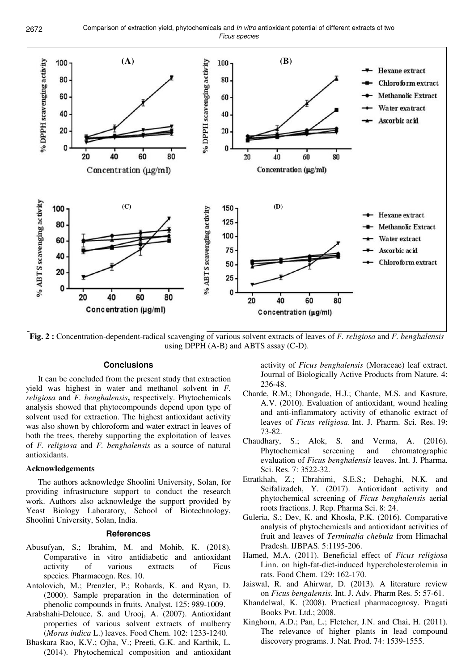

**Fig. 2 :** Concentration-dependent-radical scavenging of various solvent extracts of leaves of *F. religiosa* and *F. benghalensis*  using DPPH (A-B) and ABTS assay (C-D).

### **Conclusions**

It can be concluded from the present study that extraction yield was highest in water and methanol solvent in *F. religiosa* and *F. benghalensis***,** respectively. Phytochemicals analysis showed that phytocompounds depend upon type of solvent used for extraction. The highest antioxidant activity was also shown by chloroform and water extract in leaves of both the trees, thereby supporting the exploitation of leaves of *F. religiosa* and *F. benghalensis* as a source of natural antioxidants.

#### **Acknowledgements**

The authors acknowledge Shoolini University, Solan, for providing infrastructure support to conduct the research work. Authors also acknowledge the support provided by Yeast Biology Laboratory, School of Biotechnology, Shoolini University, Solan, India.

#### **References**

- Abusufyan, S.; Ibrahim, M. and Mohib, K. (2018). Comparative in vitro antidiabetic and antioxidant activity of various extracts of Ficus species. Pharmacogn. Res. 10.
- Antolovich, M.; Prenzler, P.; Robards, K. and Ryan, D. (2000). Sample preparation in the determination of phenolic compounds in fruits. Analyst. 125: 989-1009.
- Arabshahi-Delouee, S. and Urooj, A. (2007). Antioxidant properties of various solvent extracts of mulberry (*Morus indica* L.) leaves. Food Chem. 102: 1233-1240.
- Bhaskara Rao, K.V.; Ojha, V.; Preeti, G.K. and Karthik, L. (2014). Phytochemical composition and antioxidant

activity of *Ficus benghalensis* (Moraceae) leaf extract. Journal of Biologically Active Products from Nature. 4: 236-48.

- Charde, R.M.; Dhongade, H.J.; Charde, M.S. and Kasture, A.V. (2010). Evaluation of antioxidant, wound healing and anti-inflammatory activity of ethanolic extract of leaves of *Ficus religiosa*. Int. J. Pharm. Sci. Res. 19: 73-82.
- Chaudhary, S.; Alok, S. and Verma, A. (2016). Phytochemical screening and chromatographic evaluation of *Ficus benghalensis* leaves. Int. J. Pharma. Sci. Res. 7: 3522-32.
- Etratkhah, Z.; Ebrahimi, S.E.S.; Dehaghi, N.K. and Seifalizadeh, Y. (2017). Antioxidant activity and phytochemical screening of *Ficus benghalensis* aerial roots fractions. J. Rep. Pharma Sci. 8: 24.
- Guleria, S.; Dev, K. and Khosla, P.K. (2016). Comparative analysis of phytochemicals and antioxidant activities of fruit and leaves of *Terminalia chebula* from Himachal Pradesh. IJBPAS. 5:1195-206.
- Hamed, M.A. (2011). Beneficial effect of *Ficus religiosa* Linn. on high-fat-diet-induced hypercholesterolemia in rats. Food Chem. 129: 162-170.
- Jaiswal, R. and Ahirwar, D. (2013). A literature review on *Ficus bengalensis*. Int. J. Adv. Pharm Res. 5: 57-61.
- Khandelwal, K. (2008). Practical pharmacognosy. Pragati Books Pvt. Ltd.; 2008.
- Kinghorn, A.D.; Pan, L.; Fletcher, J.N. and Chai, H. (2011). The relevance of higher plants in lead compound discovery programs. J. Nat. Prod. 74: 1539-1555.